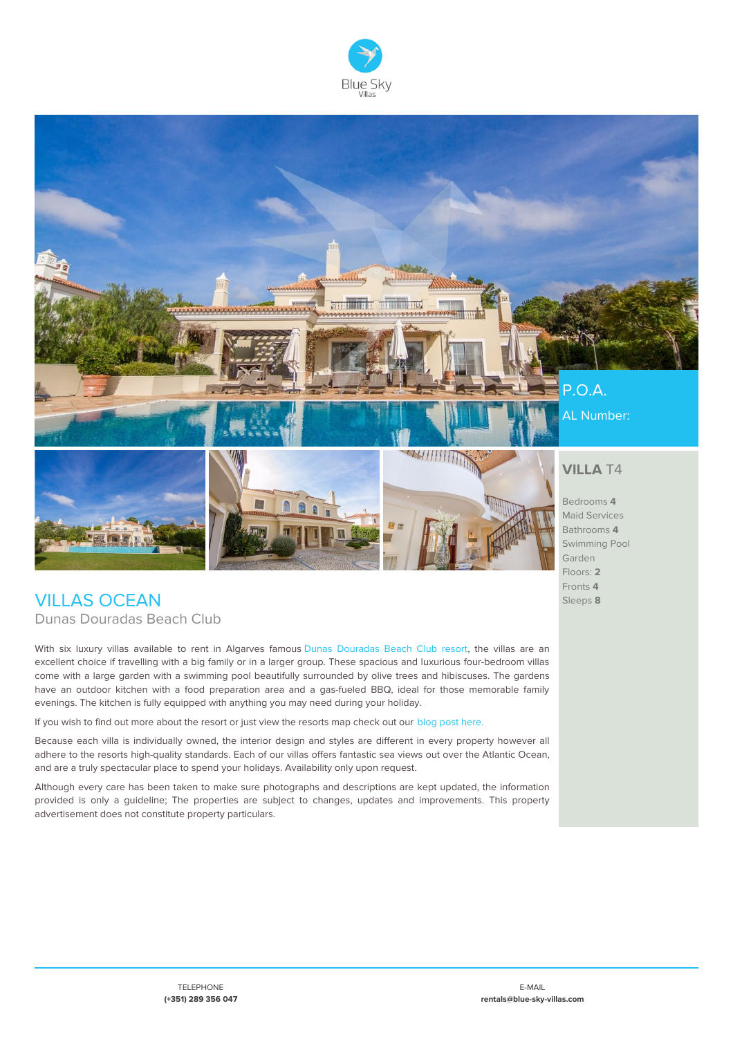



## **VILLAS OCEAN** Dunas Douradas Beach Club

With six luxury villas available to rent in Algarves famous Dunas [Douradas](https://www.blue-sky-villas.com/en/apartments-rental-dunas-douradas-beach-club/) Beach Club resort, the villas are an excellent choice if travelling with a big family or in a larger group. These spacious and luxurious four-bedroom villas come with a large garden with a swimming pool beautifully surrounded by olive trees and hibiscuses. The gardens have an outdoor kitchen with a food preparation area and a gas-fueled BBQ, ideal for those memorable family evenings. The kitchen is fully equipped with anything you may need during your holiday.

If you wish to find out more about the resort or just view the resorts map check out our blog post [here.](https://www.blue-sky-villas.com/en/blog/introducing-dunas-douradas-beach-club/)

Because each villa is individually owned, the interior design and styles are different in every property however all adhere to the resorts high-quality standards. Each of our villas offers fantastic sea views out over the Atlantic Ocean, and are a truly spectacular place to spend your holidays. Availability only upon request.

Although every care has been taken to make sure photographs and descriptions are kept updated, the information provided is only a guideline; The properties are subject to changes, updates and improvements. This property advertisement does not constitute property particulars.

Fronts **4** Sleeps **8**